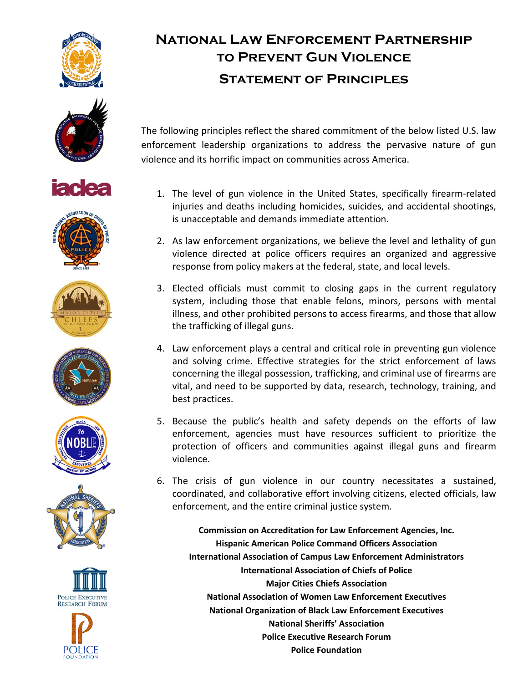



















# **NATIONAL LAW ENFORCEMENT PARTNERSHIP TO PREVENT GUN VIOLENCE STATEMENT OF PRINCIPLES**

The following principles reflect the shared commitment of the below listed U.S. law enforcement leadership organizations to address the pervasive nature of gun violence and its horrific impact on communities across America.

- 1. The level of gun violence in the United States, specifically firearm-related injuries and deaths including homicides, suicides, and accidental shootings, is unacceptable and demands immediate attention.
- 2. As law enforcement organizations, we believe the level and lethality of gun violence directed at police officers requires an organized and aggressive response from policy makers at the federal, state, and local levels.
- 3. Elected officials must commit to closing gaps in the current regulatory system, including those that enable felons, minors, persons with mental illness, and other prohibited persons to access firearms, and those that allow the trafficking of illegal guns.
- 4. Law enforcement plays a central and critical role in preventing gun violence and solving crime. Effective strategies for the strict enforcement of laws concerning the illegal possession, trafficking, and criminal use of firearms are vital, and need to be supported by data, research, technology, training, and best practices.
- 5. Because the public's health and safety depends on the efforts of law enforcement, agencies must have resources sufficient to prioritize the protection of officers and communities against illegal guns and firearm violence.
- 6. The crisis of gun violence in our country necessitates a sustained, coordinated, and collaborative effort involving citizens, elected officials, law enforcement, and the entire criminal justice system.

**Commission on Accreditation for Law Enforcement Agencies, Inc. Hispanic!American!Police!Command!Officers!Association International Association of Campus Law Enforcement Administrators International Association of Chiefs of Police Major Cities Chiefs Association National Association of Women Law Enforcement Executives National Organization of Black Law Enforcement Executives National Sheriffs' Association Police Executive Research Forum Police Foundation**